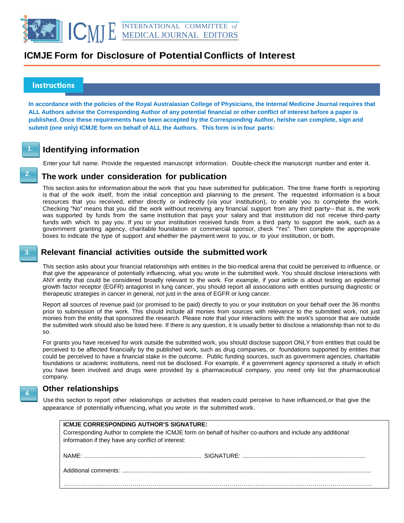

## **ICMJE Form for Disclosure of Potential Conflicts of Interest**

## **Instructions**

**In accordance with the policies of the Royal Australasian College of Physicians, the Internal Medicine Journal requires that ALL Authors advise the Corresponding Author of any potential financial or other conflict of interest before a paper is published. Once these requirements have been accepted by the Corresponding Author, he/she can complete, sign and submit (one only) ICMJE form on behalf of ALL the Authors. This form is in four parts:** 

## **Identifying information**

Enter your full name. Provide the requested manuscript information. Double-check the manuscript number and enter it.

## **The work under consideration for publication**

This section asks for information about the work that you have submitted for publication. The time frame forth is reporting is that of the work itself, from the initial conception and planning to the present. The requested information is a bout resources that you received, either directly or indirectly (via your institution), to enable you to complete the work. Checking "No" means that you did the work without receiving any financial support from any third party-- that is, the work was supported by funds from the same institution that pays your salary and that institution did not receive third-party funds with which to pay you. If you or your institution received funds from a third party to support the work, such as a government granting agency, charitable foundation or commercial sponsor, check "Yes". Then complete the appropriate boxes to indicate the type of support and whether the payment went to you, or to your institution, or both.

### **3**.

**4**.

**1**.

**2**.

## **Relevant financial activities outside the submitted work**

This section asks about your financial relationships with entities in the bio-medical arena that could be perceived to influence, or that give the appearance of potentially influencing, what you wrote in the submitted work. You should disclose interactions with ANY entity that could be considered broadly relevant to the work. For example, if your article is about testing an epidermal growth factor receptor (EGFR) antagonist in lung cancer, you should report all associations with entities pursuing diagnostic or therapeutic strategies in cancer in general, not just in the area of EGFR or lung cancer.

Report all sources of revenue paid (or promised to be paid) directly to you or your institution on your behalf over the 36 months prior to submission of the work. This should include all monies from sources with relevance to the submitted work, not just monies from the entity that sponsored the research. Please note that your interactions with the work's sponsor that are outside the submitted work should also be listed here. If there is any question, it is usually better to disclose a relationship than not to do so.

For grants you have received for work outside the submitted work, you should disclose support ONLY from entities that could be perceived to be affected financially by the published work, such as drug companies, or foundations supported by entities that could be perceived to have a financial stake in the outcome. Public funding sources, such as government agencies, charitable foundations or academic institutions, need not be disclosed. For example, if a government agency sponsored a study in which you have been involved and drugs were provided by a pharmaceutical company, you need only list the pharmaceutical company.

## **Other relationships**

Use this section to report other relationships or activities that readers could perceive to have influenced,or that give the appearance of potentially influencing, what you wrote in the submitted work.

| <b>ICMJE CORRESPONDING AUTHOR'S SIGNATURE:</b>                                                             |  |  |  |  |  |  |
|------------------------------------------------------------------------------------------------------------|--|--|--|--|--|--|
| Corresponding Author to complete the ICMJE form on behalf of his/her co-authors and include any additional |  |  |  |  |  |  |
| information if they have any conflict of interest:                                                         |  |  |  |  |  |  |
|                                                                                                            |  |  |  |  |  |  |
| <b>NAME:</b>                                                                                               |  |  |  |  |  |  |
|                                                                                                            |  |  |  |  |  |  |
|                                                                                                            |  |  |  |  |  |  |
|                                                                                                            |  |  |  |  |  |  |
|                                                                                                            |  |  |  |  |  |  |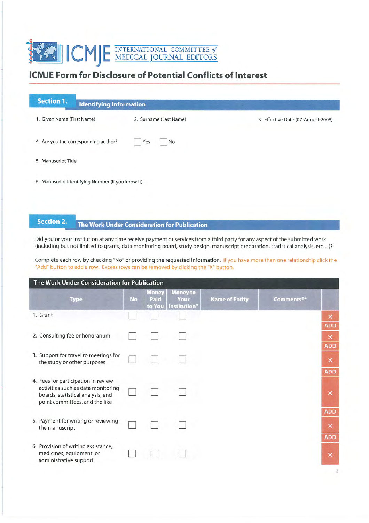

# **ICMJE Form for Disclosure of Potential Conflicts of Interest**

| <b>Section 1.</b><br><b>Identifying Information</b> |                        |                                    |
|-----------------------------------------------------|------------------------|------------------------------------|
| 1. Given Name (First Name)                          | 2. Surname (Last Name) | 3. Effective Date (07-August-2008) |
| 4. Are you the corresponding author?                | Yes<br>i No            |                                    |
| 5. Manuscript Title                                 |                        |                                    |
| 6. Manuscript Identifying Number (if you know it)   |                        |                                    |

#### **Section 2.** The Work Under Consideration for Publication

Did you or your institution at any time receive payment or services from a third party for any aspect of the submitted work (including but not limited to grants, data monitoring board, study design, manuscript preparation, statistical analysis, etc...)?

Complete each row by checking "No" or providing the requested information. If you have more than one relationship click the "Add" button to add a row. Excess rows can be removed by clicking the "X" button.

| The Work Under Consideration for Publication                                                                                                     |           |                                |                                         |                       |            |                        |
|--------------------------------------------------------------------------------------------------------------------------------------------------|-----------|--------------------------------|-----------------------------------------|-----------------------|------------|------------------------|
| <b>Type</b>                                                                                                                                      | <b>No</b> | <b>Money</b><br>Paid<br>to You | <b>Money to</b><br>Your<br>Institution* | <b>Name of Entity</b> | Comments** |                        |
| 1. Grant                                                                                                                                         |           |                                |                                         |                       |            | $\times$<br><b>ADD</b> |
| 2. Consulting fee or honorarium                                                                                                                  |           |                                |                                         |                       |            | ×                      |
| 3. Support for travel to meetings for<br>the study or other purposes                                                                             |           |                                |                                         |                       |            | <b>ADD</b><br>$\times$ |
| 4. Fees for participation in review<br>activities such as data monitoring<br>boards, statistical analysis, end<br>point committees, and the like |           |                                |                                         |                       |            | <b>ADD</b><br>$\times$ |
| 5. Payment for writing or reviewing<br>the manuscript                                                                                            |           |                                |                                         |                       |            | <b>ADD</b><br>$\times$ |
| 6. Provision of writing assistance,<br>medicines, equipment, or<br>administrative support                                                        |           |                                |                                         |                       |            | <b>ADD</b><br>$\times$ |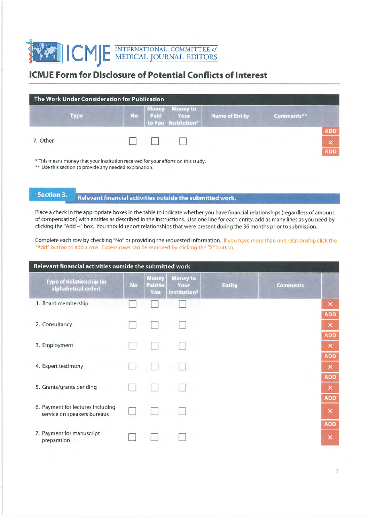# SENIC MINTERNATIONAL COMMITTEE of

## **ICMJE Form for Disclosure of Potential Conflicts of Interest**

| The Work Under Consideration for Publication |           |                      |          |                       |            |                         |  |
|----------------------------------------------|-----------|----------------------|----------|-----------------------|------------|-------------------------|--|
|                                              | <b>No</b> | <b>Money</b><br>Paid | Money to | <b>Name of Entity</b> | Comments** |                         |  |
|                                              |           |                      |          |                       |            | <b>ADD</b>              |  |
| 7. Other                                     |           |                      |          |                       |            | $\overline{\mathsf{x}}$ |  |
|                                              |           |                      |          |                       |            |                         |  |

\* This means money that your institution received for your efforts on this study.

\*\* Use this section to provide any needed explanation.

#### **Section 3.** Relevant financial activities outside the submitted work.

Place a check in the appropriate boxes in the table to indicate whether you have financial relationships (regardless of amount of compensation) with entities as described in the instructions. Use one line for each entity; add as many lines as you need by clicking the "Add +" box. You should report relationships that were present during the 36 months prior to submission.

Complete each row by checking "No" or providing the requested information. If you have more than one relationship click the "Add" button to add a row. Excess rows can be removed by clicking the "X" button.

| Relevant financial activities outside the submitted work         |           |                                       |                                         |               |                 |            |
|------------------------------------------------------------------|-----------|---------------------------------------|-----------------------------------------|---------------|-----------------|------------|
| <b>Type of Relationship (in</b><br>alphabetical order)           | <b>No</b> | <b>Money</b><br><b>Paid to</b><br>You | <b>Money to</b><br>Your<br>Institution* | <b>Entity</b> | <b>Comments</b> |            |
| 1. Board membership                                              |           |                                       |                                         |               |                 | $\times$   |
|                                                                  |           |                                       |                                         |               |                 | <b>ADD</b> |
| 2. Consultancy                                                   |           |                                       |                                         |               |                 | ×          |
|                                                                  |           |                                       |                                         |               |                 | <b>ADD</b> |
| 3. Employment                                                    |           |                                       |                                         |               |                 | ×          |
|                                                                  |           |                                       |                                         |               |                 | <b>ADD</b> |
| 4. Expert testimony                                              |           |                                       |                                         |               |                 | ×          |
|                                                                  |           |                                       |                                         |               |                 | <b>ADD</b> |
| 5. Grants/grants pending                                         |           |                                       |                                         |               |                 | $\times$   |
|                                                                  |           |                                       |                                         |               |                 | <b>ADD</b> |
| 6. Payment for lectures including<br>service on speakers bureaus |           |                                       |                                         |               |                 | $\times$   |
|                                                                  |           |                                       |                                         |               |                 | <b>ADD</b> |
| 7. Payment for manuscript<br>preparation                         |           |                                       |                                         |               |                 | $\times$   |